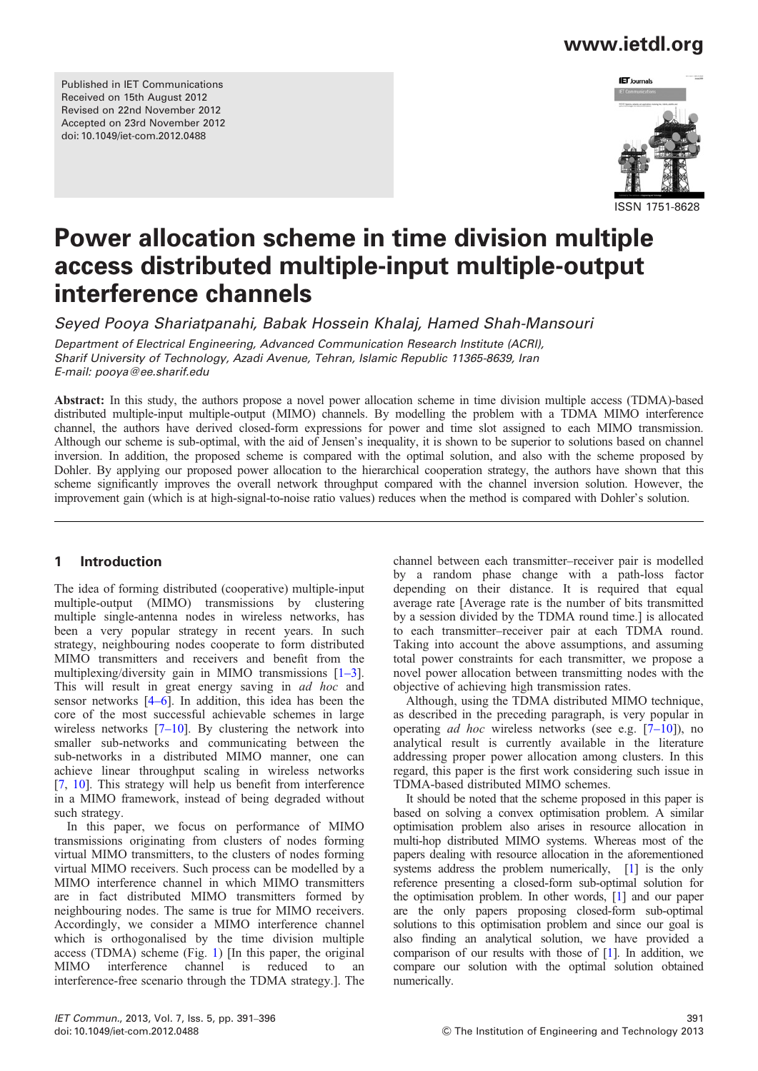## www.ietdl.org

Published in IET Communications Received on 15th August 2012 Revised on 22nd November 2012 Accepted on 23rd November 2012 doi: 10.1049/iet-com.2012.0488



ISSN 1751-8628

# Power allocation scheme in time division multiple access distributed multiple-input multiple-output interference channels

Seyed Pooya Shariatpanahi, Babak Hossein Khalaj, Hamed Shah-Mansouri

Department of Electrical Engineering, Advanced Communication Research Institute (ACRI), Sharif University of Technology, Azadi Avenue, Tehran, Islamic Republic 11365-8639, Iran E-mail: pooya@ee.sharif.edu

Abstract: In this study, the authors propose a novel power allocation scheme in time division multiple access (TDMA)-based distributed multiple-input multiple-output (MIMO) channels. By modelling the problem with a TDMA MIMO interference channel, the authors have derived closed-form expressions for power and time slot assigned to each MIMO transmission. Although our scheme is sub-optimal, with the aid of Jensen's inequality, it is shown to be superior to solutions based on channel inversion. In addition, the proposed scheme is compared with the optimal solution, and also with the scheme proposed by Dohler. By applying our proposed power allocation to the hierarchical cooperation strategy, the authors have shown that this scheme significantly improves the overall network throughput compared with the channel inversion solution. However, the improvement gain (which is at high-signal-to-noise ratio values) reduces when the method is compared with Dohler's solution.

#### 1 Introduction

The idea of forming distributed (cooperative) multiple-input multiple-output (MIMO) transmissions by clustering multiple single-antenna nodes in wireless networks, has been a very popular strategy in recent years. In such strategy, neighbouring nodes cooperate to form distributed MIMO transmitters and receivers and benefit from the multiplexing/diversity gain in MIMO transmissions [1–3]. This will result in great energy saving in ad hoc and sensor networks [4–6]. In addition, this idea has been the core of the most successful achievable schemes in large wireless networks  $[7-10]$ . By clustering the network into smaller sub-networks and communicating between the sub-networks in a distributed MIMO manner, one can achieve linear throughput scaling in wireless networks [7, 10]. This strategy will help us benefit from interference in a MIMO framework, instead of being degraded without such strategy.

In this paper, we focus on performance of MIMO transmissions originating from clusters of nodes forming virtual MIMO transmitters, to the clusters of nodes forming virtual MIMO receivers. Such process can be modelled by a MIMO interference channel in which MIMO transmitters are in fact distributed MIMO transmitters formed by neighbouring nodes. The same is true for MIMO receivers. Accordingly, we consider a MIMO interference channel which is orthogonalised by the time division multiple access (TDMA) scheme (Fig. 1) [In this paper, the original MIMO interference channel is reduced to an interference-free scenario through the TDMA strategy.]. The channel between each transmitter–receiver pair is modelled by a random phase change with a path-loss factor depending on their distance. It is required that equal average rate [Average rate is the number of bits transmitted by a session divided by the TDMA round time.] is allocated to each transmitter–receiver pair at each TDMA round. Taking into account the above assumptions, and assuming total power constraints for each transmitter, we propose a novel power allocation between transmitting nodes with the objective of achieving high transmission rates.

Although, using the TDMA distributed MIMO technique, as described in the preceding paragraph, is very popular in operating *ad hoc* wireless networks (see e.g.  $[7-10]$ ), no analytical result is currently available in the literature addressing proper power allocation among clusters. In this regard, this paper is the first work considering such issue in TDMA-based distributed MIMO schemes.

It should be noted that the scheme proposed in this paper is based on solving a convex optimisation problem. A similar optimisation problem also arises in resource allocation in multi-hop distributed MIMO systems. Whereas most of the papers dealing with resource allocation in the aforementioned systems address the problem numerically, [1] is the only reference presenting a closed-form sub-optimal solution for the optimisation problem. In other words, [1] and our paper are the only papers proposing closed-form sub-optimal solutions to this optimisation problem and since our goal is also finding an analytical solution, we have provided a comparison of our results with those of [1]. In addition, we compare our solution with the optimal solution obtained numerically.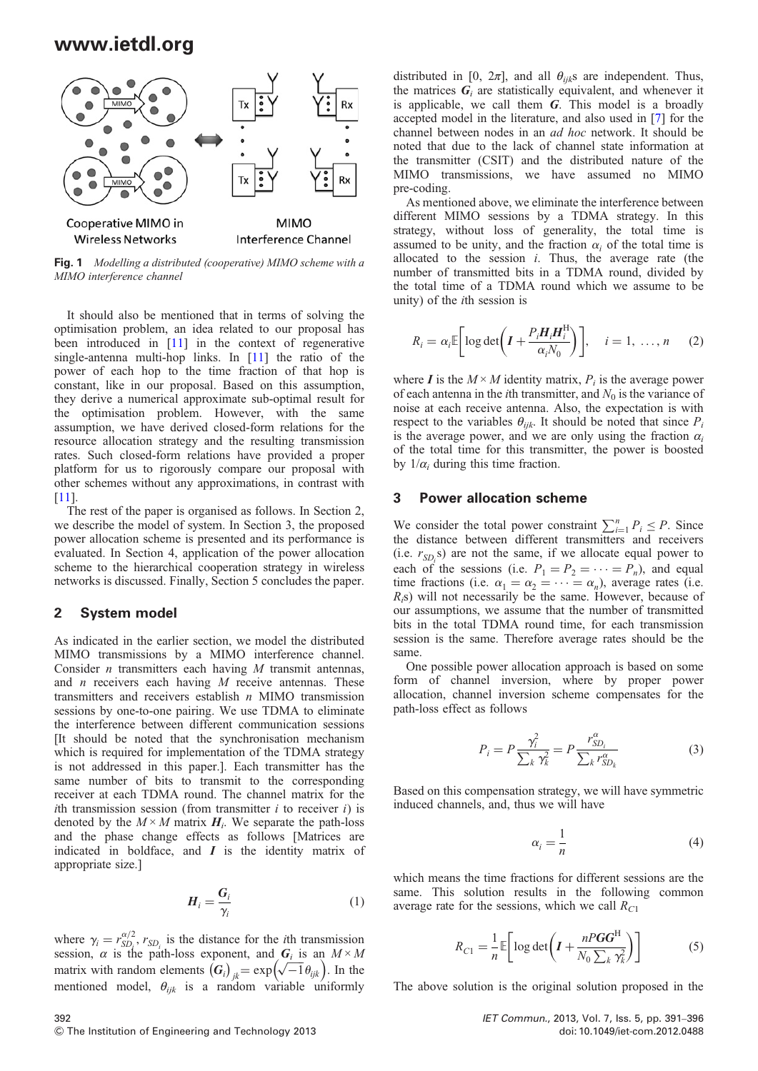

Fig. 1 Modelling a distributed (cooperative) MIMO scheme with a MIMO interference channel

It should also be mentioned that in terms of solving the optimisation problem, an idea related to our proposal has been introduced in [11] in the context of regenerative single-antenna multi-hop links. In [11] the ratio of the power of each hop to the time fraction of that hop is constant, like in our proposal. Based on this assumption, they derive a numerical approximate sub-optimal result for the optimisation problem. However, with the same assumption, we have derived closed-form relations for the resource allocation strategy and the resulting transmission rates. Such closed-form relations have provided a proper platform for us to rigorously compare our proposal with other schemes without any approximations, in contrast with [11].

The rest of the paper is organised as follows. In Section 2, we describe the model of system. In Section 3, the proposed power allocation scheme is presented and its performance is evaluated. In Section 4, application of the power allocation scheme to the hierarchical cooperation strategy in wireless networks is discussed. Finally, Section 5 concludes the paper.

#### 2 System model

As indicated in the earlier section, we model the distributed MIMO transmissions by a MIMO interference channel. Consider  $n$  transmitters each having  $M$  transmit antennas, and  $n$  receivers each having  $M$  receive antennas. These transmitters and receivers establish  $n$  MIMO transmission sessions by one-to-one pairing. We use TDMA to eliminate the interference between different communication sessions [It should be noted that the synchronisation mechanism which is required for implementation of the TDMA strategy is not addressed in this paper.]. Each transmitter has the same number of bits to transmit to the corresponding receiver at each TDMA round. The channel matrix for the *i*th transmission session (from transmitter  $i$  to receiver  $i$ ) is denoted by the  $M \times M$  matrix  $H_i$ . We separate the path-loss and the phase change effects as follows [Matrices are indicated in boldface, and  $I$  is the identity matrix of appropriate size.]

$$
H_i = \frac{G_i}{\gamma_i} \tag{1}
$$

where  $\gamma_i = r_{SD_i}^{\alpha/2}$ ,  $r_{SD_i}$  is the distance for the *i*th transmission session,  $\alpha$  is the path-loss exponent, and  $G_i$  is an  $M \times M$ matrix with random elements  $(G_i)_{jk} = \exp(\sqrt{-1} \theta_{ijk})$ . In the mentioned model,  $\theta_{ijk}$  is a random variable uniformly

distributed in [0,  $2\pi$ ], and all  $\theta_{ijk}$ s are independent. Thus, the matrices  $G_i$  are statistically equivalent, and whenever it is applicable, we call them  $G$ . This model is a broadly accepted model in the literature, and also used in [7] for the channel between nodes in an ad hoc network. It should be noted that due to the lack of channel state information at the transmitter (CSIT) and the distributed nature of the MIMO transmissions, we have assumed no MIMO pre-coding.

As mentioned above, we eliminate the interference between different MIMO sessions by a TDMA strategy. In this strategy, without loss of generality, the total time is assumed to be unity, and the fraction  $\alpha_i$  of the total time is allocated to the session  $i$ . Thus, the average rate (the number of transmitted bits in a TDMA round, divided by the total time of a TDMA round which we assume to be unity) of the ith session is

$$
R_i = \alpha_i \mathbb{E}\bigg[\log \det \bigg(\boldsymbol{I} + \frac{P_i \boldsymbol{H}_i \boldsymbol{H}_i^{\mathrm{H}}}{\alpha_i N_0}\bigg)\bigg], \quad i = 1, \dots, n \quad (2)
$$

where *I* is the  $M \times M$  identity matrix,  $P_i$  is the average power of each antenna in the *i*th transmitter, and  $N_0$  is the variance of noise at each receive antenna. Also, the expectation is with respect to the variables  $\theta_{ijk}$ . It should be noted that since  $P_i$ is the average power, and we are only using the fraction  $\alpha_i$ of the total time for this transmitter, the power is boosted by  $1/\alpha_i$  during this time fraction.

#### 3 Power allocation scheme

We consider the total power constraint  $\sum_{i=1}^{n} P_i \leq P$ . Since the distance between different transmitters and receivers (i.e.  $r_{SD_i}$ s) are not the same, if we allocate equal power to each of the sessions (i.e.  $P_1 = P_2 = \cdots = P_n$ ), and equal time fractions (i.e.  $\alpha_1 = \alpha_2 = \cdots = \alpha_n$ ), average rates (i.e.  $R_i$ s) will not necessarily be the same. However, because of our assumptions, we assume that the number of transmitted bits in the total TDMA round time, for each transmission session is the same. Therefore average rates should be the same.

One possible power allocation approach is based on some form of channel inversion, where by proper power allocation, channel inversion scheme compensates for the path-loss effect as follows

$$
P_i = P \frac{\gamma_i^2}{\sum_k \gamma_k^2} = P \frac{r_{SD_i}^{\alpha}}{\sum_k r_{SD_k}^{\alpha}} \tag{3}
$$

Based on this compensation strategy, we will have symmetric induced channels, and, thus we will have

$$
\alpha_i = \frac{1}{n} \tag{4}
$$

which means the time fractions for different sessions are the same. This solution results in the following common average rate for the sessions, which we call  $R_{C1}$ 

$$
R_{C1} = \frac{1}{n} \mathbb{E} \bigg[ \log \det \bigg( I + \frac{n \mathbf{P} \mathbf{G} \mathbf{G}^{\mathrm{H}}}{N_0 \sum_{k} \gamma_{k}^2} \bigg) \bigg] \tag{5}
$$

The above solution is the original solution proposed in the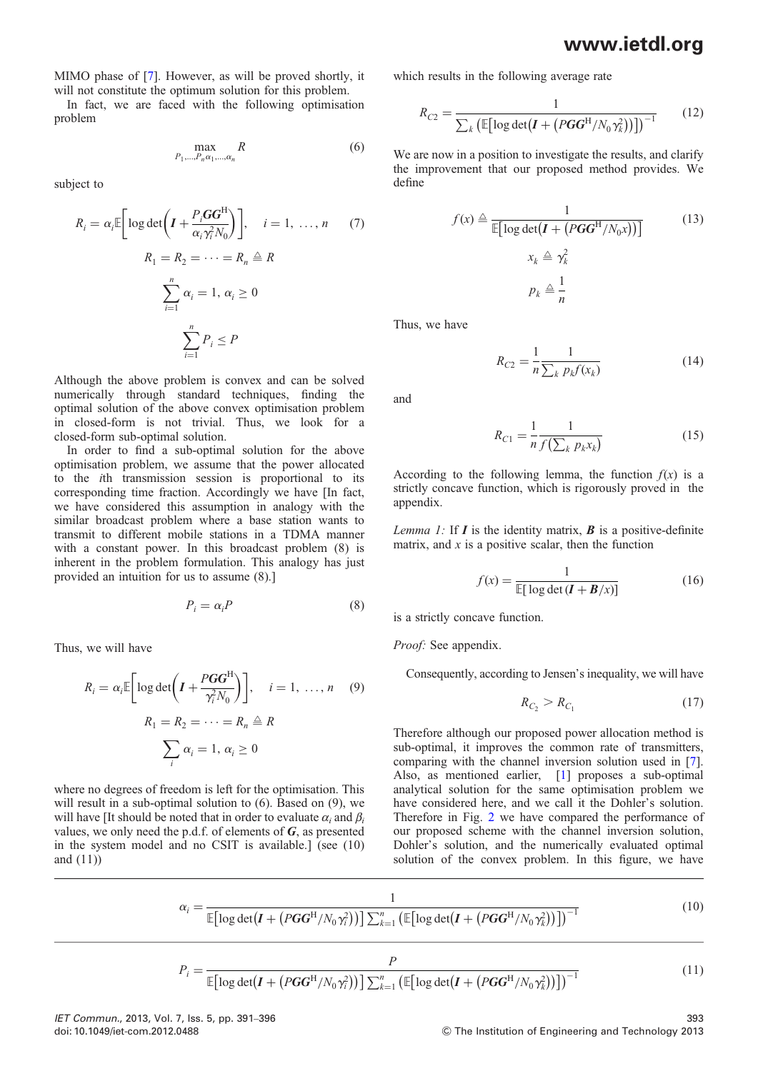## www.ietdl.org

MIMO phase of [7]. However, as will be proved shortly, it will not constitute the optimum solution for this problem.

In fact, we are faced with the following optimisation problem

$$
\max_{P_1,\dots,P_n\alpha_1,\dots,\alpha_n} R \tag{6}
$$

subject to

$$
R_{i} = \alpha_{i} \mathbb{E} \bigg[ \log \det \bigg( I + \frac{P_{i} \mathbf{G} \mathbf{G}^{H}}{\alpha_{i} \gamma_{i}^{2} N_{0}} \bigg) \bigg], \quad i = 1, \dots, n \qquad (7)
$$

$$
R_{1} = R_{2} = \dots = R_{n} \triangleq R
$$

$$
\sum_{i=1}^{n} \alpha_{i} = 1, \alpha_{i} \geq 0
$$

$$
\sum_{i=1}^{n} P_{i} \leq P
$$

Although the above problem is convex and can be solved numerically through standard techniques, finding the optimal solution of the above convex optimisation problem in closed-form is not trivial. Thus, we look for a closed-form sub-optimal solution.

In order to find a sub-optimal solution for the above optimisation problem, we assume that the power allocated to the ith transmission session is proportional to its corresponding time fraction. Accordingly we have [In fact, we have considered this assumption in analogy with the similar broadcast problem where a base station wants to transmit to different mobile stations in a TDMA manner with a constant power. In this broadcast problem (8) is inherent in the problem formulation. This analogy has just provided an intuition for us to assume (8).]

$$
P_i = \alpha_i P \tag{8}
$$

Thus, we will have

$$
R_i = \alpha_i \mathbb{E} \bigg[ \log \det \bigg( I + \frac{PGG^H}{\gamma_i^2 N_0} \bigg) \bigg], \quad i = 1, \dots, n \quad (9)
$$

$$
R_1 = R_2 = \dots = R_n \triangleq R
$$

$$
\sum_i \alpha_i = 1, \, \alpha_i \geq 0
$$

where no degrees of freedom is left for the optimisation. This will result in a sub-optimal solution to  $(6)$ . Based on  $(9)$ , we will have IIt should be noted that in order to evaluate  $\alpha_i$  and  $\beta_i$ values, we only need the p.d.f. of elements of  $G$ , as presented in the system model and no CSIT is available.] (see (10) and (11))

which results in the following average rate

$$
R_{C2} = \frac{1}{\sum_{k} \left( \mathbb{E} \left[ \log \det \left( \mathbf{I} + \left( PGG^{\mathrm{H}} / N_0 \gamma_k^2 \right) \right) \right] \right)^{-1}} \tag{12}
$$

We are now in a position to investigate the results, and clarify the improvement that our proposed method provides. We define

$$
f(x) \triangleq \frac{1}{\mathbb{E}[\log \det(I + (PGG^{H}/N_{0}x))]}
$$
(13)  

$$
x_{k} \triangleq \gamma_{k}^{2}
$$

$$
p_{k} \triangleq \frac{1}{n}
$$

Thus, we have

$$
R_{C2} = \frac{1}{n} \frac{1}{\sum_{k} p_{k} f(x_{k})}
$$
(14)

and

$$
R_{C1} = \frac{1}{n} \frac{1}{f(\sum_{k} p_{k} x_{k})}
$$
(15)

According to the following lemma, the function  $f(x)$  is a strictly concave function, which is rigorously proved in the appendix.

Lemma 1: If  $I$  is the identity matrix,  $\bf{B}$  is a positive-definite matrix, and  $x$  is a positive scalar, then the function

$$
f(x) = \frac{1}{\mathbb{E}[\log \det(I + B/x)]}
$$
(16)

is a strictly concave function.

Proof: See appendix.

Consequently, according to Jensen's inequality, we will have

$$
R_{C_2} > R_{C_1} \tag{17}
$$

Therefore although our proposed power allocation method is sub-optimal, it improves the common rate of transmitters, comparing with the channel inversion solution used in [7]. Also, as mentioned earlier, [1] proposes a sub-optimal analytical solution for the same optimisation problem we have considered here, and we call it the Dohler's solution. Therefore in Fig. 2 we have compared the performance of our proposed scheme with the channel inversion solution, Dohler's solution, and the numerically evaluated optimal solution of the convex problem. In this figure, we have

$$
\alpha_i = \frac{1}{\mathbb{E}\left[\log \det(\boldsymbol{I} + (PGG^{\rm H}/N_0\gamma_i^2))\right] \sum_{k=1}^n \left(\mathbb{E}\left[\log \det(\boldsymbol{I} + (PGG^{\rm H}/N_0\gamma_k^2))\right]\right)^{-1}}
$$
(10)

$$
P_i = \frac{P}{\mathbb{E}\left[\log \det\left(\mathbf{I} + \left(PGG^{\mathrm{H}}/N_0 \gamma_i^2\right)\right)\right] \sum_{k=1}^n \left(\mathbb{E}\left[\log \det\left(\mathbf{I} + \left(PGG^{\mathrm{H}}/N_0 \gamma_k^2\right)\right)\right]\right)^{-1}}
$$
(11)

IET Commun., 2013, Vol. 7, Iss. 5, pp. 391–396 393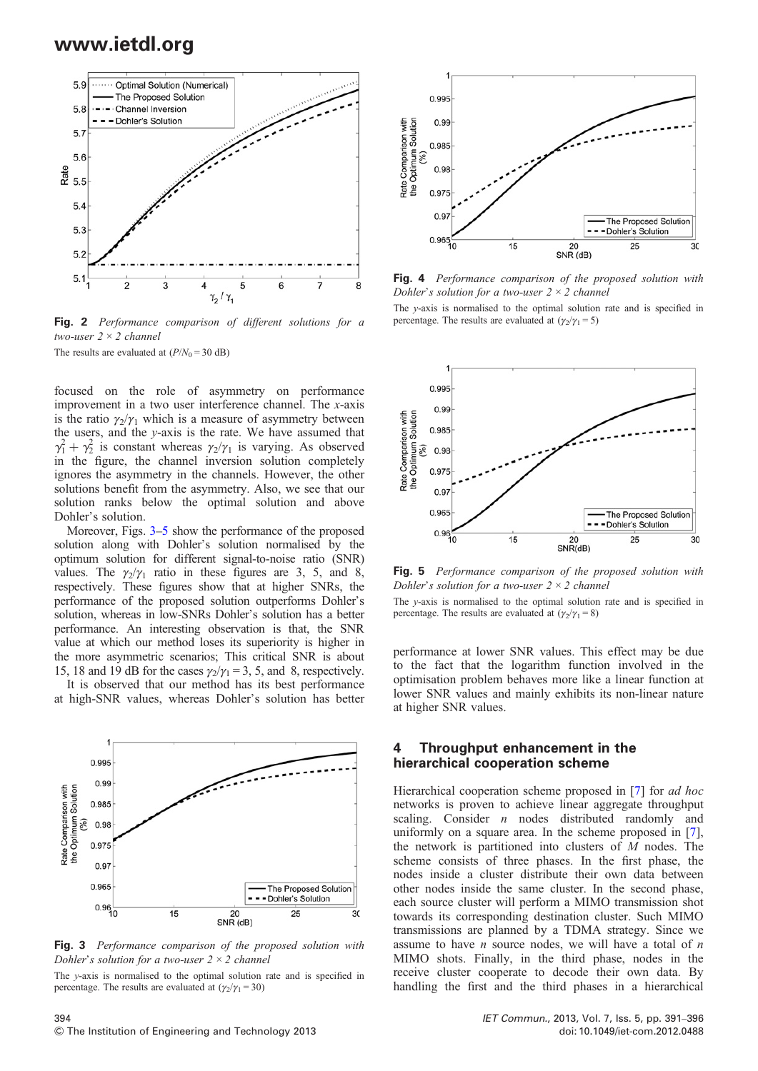

Fig. 2 Performance comparison of different solutions for a two-user  $2 \times 2$  channel

The results are evaluated at  $(P/N_0 = 30$  dB)

focused on the role of asymmetry on performance improvement in a two user interference channel. The x-axis is the ratio  $\gamma_2/\gamma_1$  which is a measure of asymmetry between the users, and the y-axis is the rate. We have assumed that  $\gamma_1^2 + \gamma_2^2$  is constant whereas  $\gamma_2/\gamma_1$  is varying. As observed in the figure, the channel inversion solution completely ignores the asymmetry in the channels. However, the other solutions benefit from the asymmetry. Also, we see that our solution ranks below the optimal solution and above Dohler's solution.

Moreover, Figs. 3–5 show the performance of the proposed solution along with Dohler's solution normalised by the optimum solution for different signal-to-noise ratio (SNR) values. The  $\gamma_2/\gamma_1$  ratio in these figures are 3, 5, and 8, respectively. These figures show that at higher SNRs, the performance of the proposed solution outperforms Dohler's solution, whereas in low-SNRs Dohler's solution has a better performance. An interesting observation is that, the SNR value at which our method loses its superiority is higher in the more asymmetric scenarios; This critical SNR is about 15, 18 and 19 dB for the cases  $\gamma_2/\gamma_1 = 3$ , 5, and 8, respectively.

It is observed that our method has its best performance at high-SNR values, whereas Dohler's solution has better



Fig. 3 Performance comparison of the proposed solution with Dohler's solution for a two-user  $2 \times 2$  channel

The y-axis is normalised to the optimal solution rate and is specified in percentage. The results are evaluated at  $(\gamma_2/\gamma_1 = 30)$ 



Fig. 4 Performance comparison of the proposed solution with Dohler's solution for a two-user  $2 \times 2$  channel

The y-axis is normalised to the optimal solution rate and is specified in percentage. The results are evaluated at  $(\gamma_2/\gamma_1 = 5)$ 



Fig. 5 Performance comparison of the proposed solution with Dohler's solution for a two-user  $2 \times 2$  channel

The y-axis is normalised to the optimal solution rate and is specified in percentage. The results are evaluated at  $(\gamma_2/\gamma_1 = 8)$ 

performance at lower SNR values. This effect may be due to the fact that the logarithm function involved in the optimisation problem behaves more like a linear function at lower SNR values and mainly exhibits its non-linear nature at higher SNR values.

#### 4 Throughput enhancement in the hierarchical cooperation scheme

Hierarchical cooperation scheme proposed in [7] for ad hoc networks is proven to achieve linear aggregate throughput scaling. Consider  $n$  nodes distributed randomly and uniformly on a square area. In the scheme proposed in [7], the network is partitioned into clusters of M nodes. The scheme consists of three phases. In the first phase, the nodes inside a cluster distribute their own data between other nodes inside the same cluster. In the second phase, each source cluster will perform a MIMO transmission shot towards its corresponding destination cluster. Such MIMO transmissions are planned by a TDMA strategy. Since we assume to have  $n$  source nodes, we will have a total of  $n$ MIMO shots. Finally, in the third phase, nodes in the receive cluster cooperate to decode their own data. By handling the first and the third phases in a hierarchical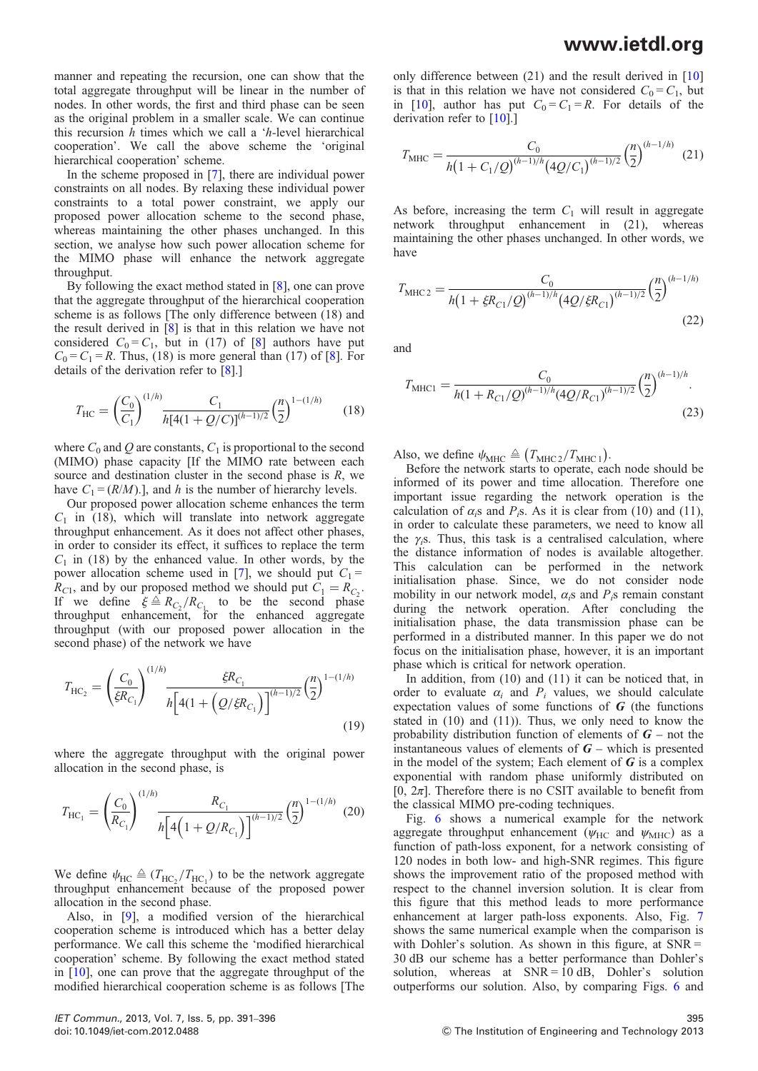## www.ietdl.org

manner and repeating the recursion, one can show that the total aggregate throughput will be linear in the number of nodes. In other words, the first and third phase can be seen as the original problem in a smaller scale. We can continue this recursion  $h$  times which we call a ' $h$ -level hierarchical cooperation'. We call the above scheme the 'original hierarchical cooperation' scheme.

In the scheme proposed in [7], there are individual power constraints on all nodes. By relaxing these individual power constraints to a total power constraint, we apply our proposed power allocation scheme to the second phase, whereas maintaining the other phases unchanged. In this section, we analyse how such power allocation scheme for the MIMO phase will enhance the network aggregate throughput.

By following the exact method stated in [8], one can prove that the aggregate throughput of the hierarchical cooperation scheme is as follows [The only difference between (18) and the result derived in [8] is that in this relation we have not considered  $C_0 = C_1$ , but in (17) of [8] authors have put  $C_0 = C_1 = R$ . Thus, (18) is more general than (17) of [8]. For details of the derivation refer to [8].]

$$
T_{\rm HC} = \left(\frac{C_0}{C_1}\right)^{(1/h)} \frac{C_1}{h[4(1+Q/C)]^{(h-1)/2}} \left(\frac{n}{2}\right)^{1-(1/h)} \tag{18}
$$

where  $C_0$  and Q are constants,  $C_1$  is proportional to the second (MIMO) phase capacity [If the MIMO rate between each source and destination cluster in the second phase is  $R$ , we have  $C_1 = (R/M)$ .], and h is the number of hierarchy levels.

Our proposed power allocation scheme enhances the term  $C_1$  in (18), which will translate into network aggregate throughput enhancement. As it does not affect other phases, in order to consider its effect, it suffices to replace the term  $C_1$  in (18) by the enhanced value. In other words, by the power allocation scheme used in [7], we should put  $C_1$  =  $R_{C1}$ , and by our proposed method we should put  $C_1 = R_{C_2}$ . If we define  $\xi \triangleq R_{C_2}/R_{C_1}$  to be the second phase<br>throughput enhancement, for the enhanced aggregate throughput (with our proposed power allocation in the second phase) of the network we have

$$
T_{\rm HC_2} = \left(\frac{C_0}{\xi R_{C_1}}\right)^{(1/h)} \frac{\xi R_{C_1}}{h \left[4(1 + \left(Q/\xi R_{C_1}\right)\right]^{(h-1)/2}} \left(\frac{n}{2}\right)^{1 - (1/h)}
$$
\n(19)

where the aggregate throughput with the original power allocation in the second phase, is

$$
T_{\rm HC_1} = \left(\frac{C_0}{R_{C_1}}\right)^{(1/h)} \frac{R_{C_1}}{h \left[4\left(1 + \frac{Q}{R_{C_1}}\right)\right]^{(h-1)/2}} \left(\frac{n}{2}\right)^{1 - (1/h)} (20)
$$

We define  $\psi_{HC} \triangleq (T_{HC_2}/T_{HC_1})$  to be the network aggregate throughput enhancement because of the proposed power allocation in the second phase.

Also, in [9], a modified version of the hierarchical cooperation scheme is introduced which has a better delay performance. We call this scheme the 'modified hierarchical cooperation' scheme. By following the exact method stated in [10], one can prove that the aggregate throughput of the modified hierarchical cooperation scheme is as follows [The

$$
T_{\text{MHC}} = \frac{C_0}{h(1 + C_1/Q)^{(h-1)/h} (4Q/C_1)^{(h-1)/2}} \left(\frac{n}{2}\right)^{(h-1/h)}
$$
(21)

As before, increasing the term  $C_1$  will result in aggregate network throughput enhancement in (21), whereas maintaining the other phases unchanged. In other words, we have

$$
T_{\text{MHC2}} = \frac{C_0}{h\left(1 + \xi R_{C1}/Q\right)^{(h-1)/h} \left(4Q/\xi R_{C1}\right)^{(h-1)/2}} \left(\frac{n}{2}\right)^{(h-1/h)}
$$
\n(22)

and

$$
T_{\text{MHC1}} = \frac{C_0}{h(1 + R_{C1}/Q)^{(h-1)/h} (4Q/R_{C1})^{(h-1)/2}} \left(\frac{n}{2}\right)^{(h-1)/h}.
$$
\n(23)

Also, we define  $\psi_{\text{MHC}} \triangleq (T_{\text{MHC 2}}/T_{\text{MHC 1}})$ .

Before the network starts to operate, each node should be informed of its power and time allocation. Therefore one important issue regarding the network operation is the calculation of  $\alpha_i$ s and P<sub>i</sub>s. As it is clear from (10) and (11), in order to calculate these parameters, we need to know all the  $\gamma$ <sub>i</sub>s. Thus, this task is a centralised calculation, where the distance information of nodes is available altogether. This calculation can be performed in the network initialisation phase. Since, we do not consider node mobility in our network model,  $\alpha_i$ s and  $P_i$ s remain constant during the network operation. After concluding the initialisation phase, the data transmission phase can be performed in a distributed manner. In this paper we do not focus on the initialisation phase, however, it is an important phase which is critical for network operation.

In addition, from (10) and (11) it can be noticed that, in order to evaluate  $\alpha_i$  and  $P_i$  values, we should calculate expectation values of some functions of  $G$  (the functions stated in (10) and (11)). Thus, we only need to know the probability distribution function of elements of  $G$  – not the instantaneous values of elements of  $G$  – which is presented in the model of the system; Each element of  $\boldsymbol{G}$  is a complex exponential with random phase uniformly distributed on [0,  $2\pi$ ]. Therefore there is no CSIT available to benefit from the classical MIMO pre-coding techniques.

Fig. 6 shows a numerical example for the network aggregate throughput enhancement ( $\psi_{HC}$  and  $\psi_{MHC}$ ) as a function of path-loss exponent, for a network consisting of 120 nodes in both low- and high-SNR regimes. This figure shows the improvement ratio of the proposed method with respect to the channel inversion solution. It is clear from this figure that this method leads to more performance enhancement at larger path-loss exponents. Also, Fig. 7 shows the same numerical example when the comparison is with Dohler's solution. As shown in this figure, at  $SNR =$ 30 dB our scheme has a better performance than Dohler's solution, whereas at  $SNR = 10$  dB, Dohler's solution outperforms our solution. Also, by comparing Figs. 6 and